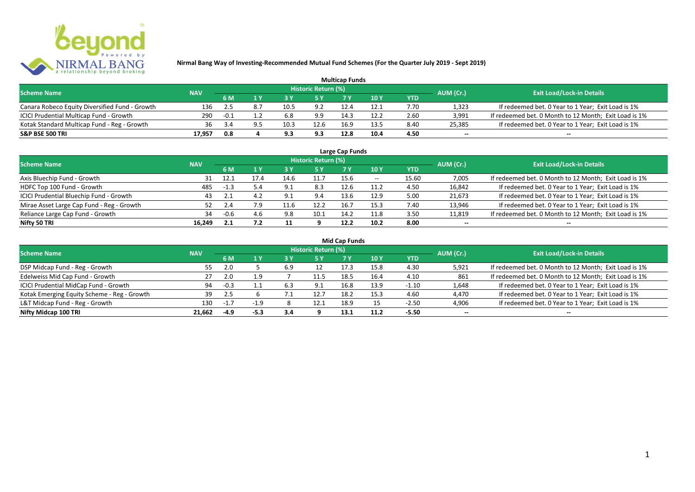

| <b>Multicap Funds</b>                          |            |        |     |      |                            |      |      |      |                          |                                                       |  |  |
|------------------------------------------------|------------|--------|-----|------|----------------------------|------|------|------|--------------------------|-------------------------------------------------------|--|--|
| <b>Scheme Name</b>                             | <b>NAV</b> |        |     |      | <b>Historic Return (%)</b> |      |      |      | AUM (Cr.)                | <b>Exit Load/Lock-in Details</b>                      |  |  |
|                                                |            | 6 M    |     |      |                            |      | 10Y  | YTD  |                          |                                                       |  |  |
| Canara Robeco Equity Diversified Fund - Growth | 136        | 2.5    | 8.7 | 10.5 | 9.2                        | 12.4 | 12.1 | 7.70 | 1,323                    | If redeemed bet. 0 Year to 1 Year; Exit Load is 1%    |  |  |
| ICICI Prudential Multicap Fund - Growth        | 290        | $-0.1$ |     | 6.8  | 9.9                        | 14.3 | 12.2 | 2.60 | 3,991                    | If redeemed bet. 0 Month to 12 Month; Exit Load is 1% |  |  |
| Kotak Standard Multicap Fund - Reg - Growth    | 36         | 3.4    |     | 10.3 | 12.6                       | 16.9 | 125  | 8.40 | 25,385                   | If redeemed bet. 0 Year to 1 Year; Exit Load is 1%    |  |  |
| S&P BSE 500 TRI                                | 17.957     | 0.8    |     | 9.3  | 9.3                        | 12.8 | 10.4 | 4.50 | $\overline{\phantom{a}}$ | $\overline{\phantom{a}}$                              |  |  |

| Large Cap Funds<br>Historic Return (%)    |            |        |      |           |      |      |       |            |                          |                                                       |  |  |  |
|-------------------------------------------|------------|--------|------|-----------|------|------|-------|------------|--------------------------|-------------------------------------------------------|--|--|--|
| <b>Scheme Name</b>                        | <b>NAV</b> | 6 M    | 1 Y  | 3 Y       | 5 Y  |      | 10 Y  | <b>YTD</b> | AUM (Cr.)                | <b>Exit Load/Lock-in Details</b>                      |  |  |  |
| Axis Bluechip Fund - Growth               | 31         | 12.1   | 17.4 | 14.6      | 11.7 | 15.6 | $- -$ | 15.60      | 7,005                    | If redeemed bet. 0 Month to 12 Month; Exit Load is 1% |  |  |  |
| HDFC Top 100 Fund - Growth                | 485        | $-1.3$ | 5.4  | 9.1       | 8.3  | 12.6 | 11.2  | 4.50       | 16,842                   | If redeemed bet. 0 Year to 1 Year; Exit Load is 1%    |  |  |  |
| ICICI Prudential Bluechip Fund - Growth   | 43         | 2.1    | 4.2  | 9.1       | 9.4  | 13.6 | 12.9  | 5.00       | 21,673                   | If redeemed bet. 0 Year to 1 Year; Exit Load is 1%    |  |  |  |
| Mirae Asset Large Cap Fund - Reg - Growth |            | 2.4    | 7.9  | 11.6      | 12.2 | 16.7 | 15.3  | 7.40       | 13,946                   | If redeemed bet. 0 Year to 1 Year; Exit Load is 1%    |  |  |  |
| Reliance Large Cap Fund - Growth          | 34         | $-0.6$ |      | 9.8       | 10.1 | 14.2 | 11.8  | 3.50       | 11,819                   | If redeemed bet. 0 Month to 12 Month; Exit Load is 1% |  |  |  |
| Nifty 50 TRI                              | 16.249     | 2.1    | 7.2  | <b>II</b> |      | 12.2 | 10.2  | 8.00       | $\overline{\phantom{a}}$ | $\overline{\phantom{a}}$                              |  |  |  |

|  | <b>Mid Cap Funds</b> |
|--|----------------------|
|  |                      |

| <b>Scheme Name</b>                          | <b>NAV</b> |        |        |     | Historic Return (%) |      |      |            | AUM (Cr.)                | <b>Exit Load/Lock-in Details</b>                      |
|---------------------------------------------|------------|--------|--------|-----|---------------------|------|------|------------|--------------------------|-------------------------------------------------------|
|                                             |            | 6 M    |        | 3 Y | 5 Y                 |      | 10 Y | <b>YTD</b> |                          |                                                       |
| DSP Midcap Fund - Reg - Growth              | 55         | 2.0    |        | 6.9 |                     | 17.3 | 15.8 | 4.30       | 5,921                    | If redeemed bet. 0 Month to 12 Month; Exit Load is 1% |
| Edelweiss Mid Cap Fund - Growth             |            | 2.0    |        |     | 11.5                |      | 16.4 | 4.10       | 861                      | If redeemed bet. 0 Month to 12 Month; Exit Load is 1% |
| ICICI Prudential MidCap Fund - Growth       | 94         | $-0.3$ |        | 6.3 | ۰ ۵                 |      | 13.9 | $-1.10$    | 1,648                    | If redeemed bet. 0 Year to 1 Year; Exit Load is 1%    |
| Kotak Emerging Equity Scheme - Reg - Growth | 39         | -2.5   |        |     | 12.                 |      | 15.3 | 4.60       | 4,470                    | If redeemed bet. 0 Year to 1 Year; Exit Load is 1%    |
| L&T Midcap Fund - Reg - Growth              | 130        | $-1.7$ |        |     | 12.1                | 18.9 |      | $-2.50$    | 4,906                    | If redeemed bet. 0 Year to 1 Year; Exit Load is 1%    |
| Nifty Midcap 100 TRI                        | 21.662     | -4.9   | $-5.3$ | 3.4 |                     |      |      | $-5.50$    | $\overline{\phantom{a}}$ | $\qquad \qquad$                                       |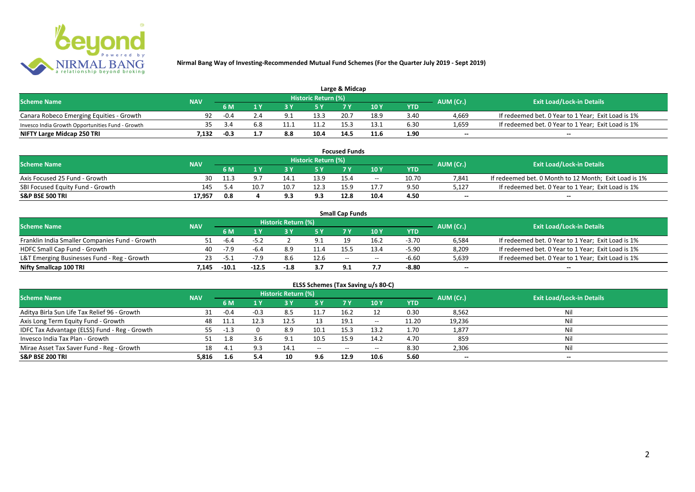

| Large & Midcap                                   |            |                                |     |      |                     |      |      |      |                          |                                                    |  |  |
|--------------------------------------------------|------------|--------------------------------|-----|------|---------------------|------|------|------|--------------------------|----------------------------------------------------|--|--|
| <b>Scheme Name</b>                               | <b>NAV</b> |                                |     |      | Historic Return (%) |      |      |      |                          | <b>Exit Load/Lock-in Details</b>                   |  |  |
|                                                  |            | AUM (Cr.)<br>10Y<br>6 M<br>YTD |     |      |                     |      |      |      |                          |                                                    |  |  |
| Canara Robeco Emerging Equities - Growth         | 92         | $-0.4$                         |     |      | 13.3                | 20.7 | 18.9 | 3.40 | 4,669                    | If redeemed bet. 0 Year to 1 Year; Exit Load is 1% |  |  |
| Invesco India Growth Opportunities Fund - Growth | 35.        |                                | 6.8 | 11.1 | 11.2                |      |      | 6.30 | 1,659                    | If redeemed bet. 0 Year to 1 Year; Exit Load is 1% |  |  |
| NIFTY Large Midcap 250 TRI                       | 1.132      | -0.3                           |     | 8.8  | 10.4                | 14.  | 11.6 | 1.90 | $\overline{\phantom{a}}$ | $- -$                                              |  |  |

| <b>Focused Funds</b>             |            |     |                                              |      |                     |      |       |       |                          |                                                       |  |  |
|----------------------------------|------------|-----|----------------------------------------------|------|---------------------|------|-------|-------|--------------------------|-------------------------------------------------------|--|--|
| <b>Scheme Name</b>               | <b>NAV</b> |     |                                              |      | Historic Return (%) |      |       |       |                          | <b>Exit Load/Lock-in Details</b>                      |  |  |
|                                  |            | 6 M | AUM (Cr.)<br>10 Y<br><b>YTD</b><br><b>EV</b> |      |                     |      |       |       |                          |                                                       |  |  |
| Axis Focused 25 Fund - Growth    | 30         |     |                                              |      | 13.9                | 15.4 | $- -$ | 10.70 | 7.841                    | If redeemed bet. 0 Month to 12 Month; Exit Load is 1% |  |  |
| SBI Focused Equity Fund - Growth | 145        |     | 10.7                                         | 10.7 | 12.3                | 15.9 |       | 9.50  | 5.127                    | If redeemed bet. 0 Year to 1 Year; Exit Load is 1%    |  |  |
| S&P BSE 500 TRI                  | 17.957     | 0.8 |                                              |      | 9.:                 | 12.8 | 10.4  | 4.50  | $\overline{\phantom{a}}$ | $- -$                                                 |  |  |

|                                                |            |         |       |                     |      | <b>Small Cap Funds</b> |             |         |                          |                                                    |  |
|------------------------------------------------|------------|---------|-------|---------------------|------|------------------------|-------------|---------|--------------------------|----------------------------------------------------|--|
| <b>Scheme Name</b>                             | <b>NAV</b> |         |       | Historic Return (%) |      |                        |             |         | AUM (Cr.)                | <b>Exit Load/Lock-in Details</b>                   |  |
|                                                |            | 6 M     |       |                     |      |                        | 10 Y<br>YTD |         |                          |                                                    |  |
| Franklin India Smaller Companies Fund - Growth |            | -6.4    | -52   |                     | 9.1  | 19                     | 16.7        | $-3.70$ | 6,584                    | If redeemed bet. 0 Year to 1 Year; Exit Load is 1% |  |
| HDFC Small Cap Fund - Growth                   | 40         | $-7.9$  | -6.4  | 8.9                 | 11.4 |                        | 13.4        | $-5.90$ | 8,209                    | If redeemed bet. 0 Year to 1 Year; Exit Load is 1% |  |
| L&T Emerging Businesses Fund - Reg - Growth    | 23         | $-5.1$  |       | 8.6                 | 12.6 | $-$                    | $- -$       | -6.60   | 5,639                    | If redeemed bet. 0 Year to 1 Year; Exit Load is 1% |  |
| Nifty Smallcap 100 TRI                         | '.145      | $-10.1$ | -12.5 | $-1.8$              | 3.7  | 9.1                    |             | -8.80   | $\overline{\phantom{a}}$ | $-$                                                |  |

| ELSS Schemes (Tax Saving u/s 80-C)            |            |        |        |                            |                                       |           |                 |            |                          |                                  |  |  |
|-----------------------------------------------|------------|--------|--------|----------------------------|---------------------------------------|-----------|-----------------|------------|--------------------------|----------------------------------|--|--|
| <b>Scheme Name</b>                            | <b>NAV</b> |        |        | <b>Historic Return (%)</b> |                                       |           |                 |            | AUM (Cr.)                | <b>Exit Load/Lock-in Details</b> |  |  |
|                                               |            | 6 M    | 1 Y    | 3 Y                        | 75 Y                                  | <b>7Y</b> | 10 <sub>Y</sub> | <b>YTD</b> |                          |                                  |  |  |
| Aditya Birla Sun Life Tax Relief 96 - Growth  | 31         | $-0.4$ | $-0.3$ | 8.5                        | 11.                                   | 16.2      | 12              | 0.30       | 8,562                    | Nil                              |  |  |
| Axis Long Term Equity Fund - Growth           | 48         | 11.1   | 12.3   | 12.5                       |                                       | 19.1      | $- -$           | 11.20      | 19,236                   | Nil                              |  |  |
| IDFC Tax Advantage (ELSS) Fund - Reg - Growth | 55         | -1.3   |        | 8.9                        | 10.1                                  | 15.3      | 13.2            | 1.70       | 1,877                    | Nil                              |  |  |
| Invesco India Tax Plan - Growth               | 51         | 1.8    |        |                            | 10.5                                  | 15.9      | 14.2            | 4.70       | 859                      | Nil                              |  |  |
| Mirae Asset Tax Saver Fund - Reg - Growth     | 18         | 4.1    | 9.3    | 14.1                       | $\hspace{0.05cm}$ – $\hspace{0.05cm}$ | $-$       | $- -$           | 8.30       | 2,306                    | Nil                              |  |  |
| <b>S&amp;P BSE 200 TRI</b>                    | 5,816      | 1.6    | 5.4    | 10                         | 9.6                                   | 12.9      | 10.6            | 5.60       | $\overline{\phantom{a}}$ | $\overline{\phantom{a}}$         |  |  |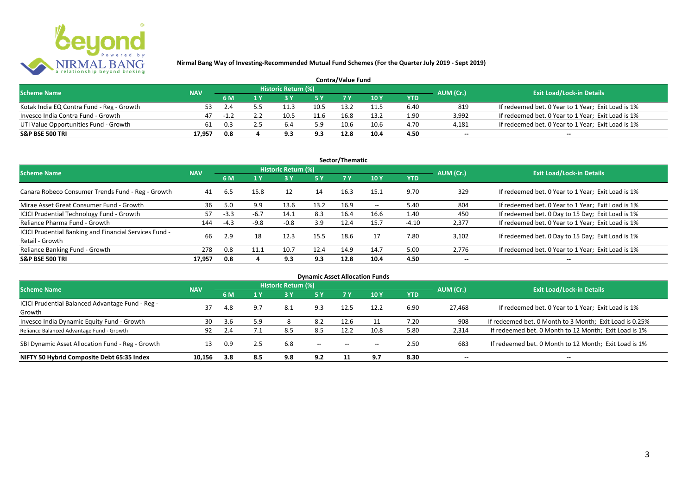

| <b>Contra/Value Fund</b>                  |            |     |  |                     |      |      |      |            |                                               |                                                    |  |  |  |
|-------------------------------------------|------------|-----|--|---------------------|------|------|------|------------|-----------------------------------------------|----------------------------------------------------|--|--|--|
| <b>Scheme Name</b>                        | <b>NAV</b> |     |  | Historic Return (%) |      |      |      |            |                                               |                                                    |  |  |  |
|                                           |            | 6 M |  |                     | E V  |      | 10 Y | <b>YTD</b> | <b>Exit Load/Lock-in Details</b><br>AUM (Cr.) |                                                    |  |  |  |
| Kotak India EQ Contra Fund - Reg - Growth | 53.        |     |  |                     | 10.5 | 13.2 | 11.5 | 6.40       | 819                                           | If redeemed bet. 0 Year to 1 Year; Exit Load is 1% |  |  |  |
| Invesco India Contra Fund - Growth        | 47         | -17 |  | 10.5                | 11.6 | 16.8 |      | 1.90       | 3,992                                         | If redeemed bet. 0 Year to 1 Year; Exit Load is 1% |  |  |  |
| UTI Value Opportunities Fund - Growth     | 61         | 0.3 |  |                     | 5.9  | 10.6 | 10.6 | 4.70       | 4,181                                         | If redeemed bet. 0 Year to 1 Year; Exit Load is 1% |  |  |  |
| <b>S&amp;P BSE 500 TRI</b>                | 17.957     | 0.8 |  | 9.3                 | 9.3  | 12.8 | 10.4 | 4.50       | $\overline{\phantom{a}}$                      | $- -$                                              |  |  |  |

| Sector/Thematic                                                           |            |        |        |                     |           |      |                   |            |                          |                                                    |  |  |
|---------------------------------------------------------------------------|------------|--------|--------|---------------------|-----------|------|-------------------|------------|--------------------------|----------------------------------------------------|--|--|
| <b>Scheme Name</b>                                                        | <b>NAV</b> |        |        | Historic Return (%) |           |      |                   |            | AUM (Cr.)                | <b>Exit Load/Lock-in Details</b>                   |  |  |
|                                                                           |            | 6 M    | $A$ Y  |                     | <b>5Y</b> | 7Y   | 10Y               | <b>YTD</b> |                          |                                                    |  |  |
| Canara Robeco Consumer Trends Fund - Reg - Growth                         | 41         | 6.5    | 15.8   | 12                  | 14        | 16.3 | 15.1              | 9.70       | 329                      | If redeemed bet. 0 Year to 1 Year; Exit Load is 1% |  |  |
| Mirae Asset Great Consumer Fund - Growth                                  | 36         | 5.0    | 9.9    | 13.6                | 13.2      | 16.9 | $\hspace{0.05cm}$ | 5.40       | 804                      | If redeemed bet. 0 Year to 1 Year; Exit Load is 1% |  |  |
| ICICI Prudential Technology Fund - Growth                                 | 57         | $-3.3$ | $-6.7$ | 14.1                | 8.3       | 16.4 | 16.6              | 1.40       | 450                      | If redeemed bet. 0 Day to 15 Day; Exit Load is 1%  |  |  |
| Reliance Pharma Fund - Growth                                             | 144        | $-4.3$ | $-9.8$ | $-0.8$              | 3.9       | 12.4 | 15.7              | $-4.10$    | 2,377                    | If redeemed bet. 0 Year to 1 Year; Exit Load is 1% |  |  |
| ICICI Prudential Banking and Financial Services Fund -<br>Retail - Growth | 66         | 2.9    | 18     | 12.3                | 15.5      | 18.6 | 17                | 7.80       | 3.102                    | If redeemed bet. 0 Day to 15 Day; Exit Load is 1%  |  |  |
| Reliance Banking Fund - Growth                                            | 278        | 0.8    | 11.1   | 10.7                | 12.4      | 14.9 | 14.7              | 5.00       | 2,776                    | If redeemed bet. 0 Year to 1 Year; Exit Load is 1% |  |  |
| <b>S&amp;P BSE 500 TRI</b>                                                | 17,957     | 0.8    |        | 9.3                 | 9.3       | 12.8 | 10.4              | 4.50       | $\overline{\phantom{a}}$ | $- -$                                              |  |  |

|                                                  |            |     |     |                            |                                       |                                       | <b>Dynamic Asset Allocation Funds</b> |            |                          |                                                         |
|--------------------------------------------------|------------|-----|-----|----------------------------|---------------------------------------|---------------------------------------|---------------------------------------|------------|--------------------------|---------------------------------------------------------|
| Scheme Name                                      | <b>NAV</b> |     |     | <b>Historic Return (%)</b> |                                       |                                       |                                       |            | AUM (Cr.)                | <b>Exit Load/Lock-in Details</b>                        |
|                                                  |            | 6 M | 1 Y | 73 V.                      | 5 Y                                   |                                       | 10 Y                                  | <b>YTD</b> |                          |                                                         |
| ICICI Prudential Balanced Advantage Fund - Reg - | 37         |     | 9.7 | 8.1                        | 9.3                                   |                                       | 12.2                                  | 6.90       | 27.468                   | If redeemed bet. 0 Year to 1 Year; Exit Load is 1%      |
| Growth                                           |            | 4.8 |     |                            |                                       |                                       |                                       |            |                          |                                                         |
| Invesco India Dynamic Equity Fund - Growth       | 30         | 3.6 | 5.9 |                            | 8.2                                   | 12.6                                  |                                       | 7.20       | 908                      | If redeemed bet. 0 Month to 3 Month; Exit Load is 0.25% |
| Reliance Balanced Advantage Fund - Growth        | 92         | 2.4 |     | 8.5                        | 8.5                                   | 12.2                                  | 10.8                                  | 5.80       | 2,314                    | If redeemed bet. 0 Month to 12 Month; Exit Load is 1%   |
| SBI Dynamic Asset Allocation Fund - Reg - Growth |            | 0.9 | 2.5 | 6.8                        | $\hspace{0.05cm}$ – $\hspace{0.05cm}$ | $\hspace{0.05cm}$ – $\hspace{0.05cm}$ | $- -$                                 | 2.50       | 683                      | If redeemed bet. 0 Month to 12 Month; Exit Load is 1%   |
| NIFTY 50 Hybrid Composite Debt 65:35 Index       | 10.156     | 3.8 | 8.5 | 9.8                        | 9.2                                   |                                       | 9.7                                   | 8.30       | $\overline{\phantom{a}}$ | $- -$                                                   |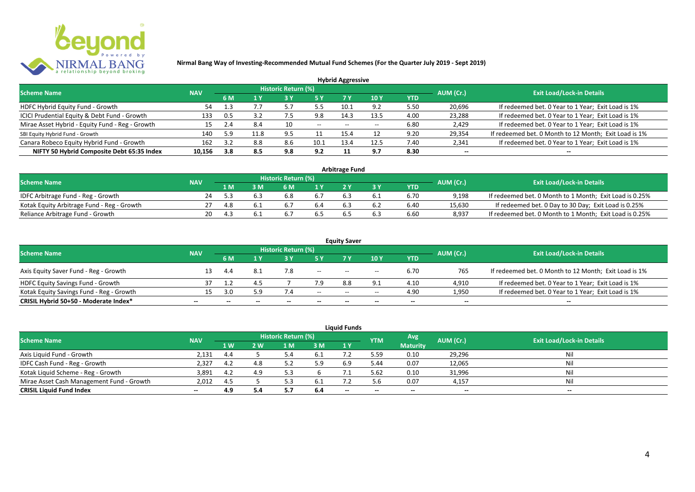

| <b>Hybrid Aggressive</b>                        |            |     |                     |                            |       |                                       |             |      |                          |                                                       |  |  |
|-------------------------------------------------|------------|-----|---------------------|----------------------------|-------|---------------------------------------|-------------|------|--------------------------|-------------------------------------------------------|--|--|
| <b>Scheme Name</b>                              | <b>NAV</b> |     |                     | <b>Historic Return (%)</b> |       |                                       |             |      | AUM (Cr.)                | <b>Exit Load/Lock-in Details</b>                      |  |  |
|                                                 |            | 6 M | 1 Y                 |                            | 15 Y  | 7 Y                                   | <b>10 Y</b> | YTD  |                          |                                                       |  |  |
| HDFC Hybrid Equity Fund - Growth                | 54         |     | $\prime$ . $\prime$ |                            | 5.5   | 10.1                                  | 9.2         | 5.50 | 20,696                   | If redeemed bet. 0 Year to 1 Year; Exit Load is 1%    |  |  |
| ICICI Prudential Equity & Debt Fund - Growth    | 133        | 0.5 |                     |                            | 9.8   | 14.3                                  | 13.5        | 4.00 | 23,288                   | If redeemed bet. 0 Year to 1 Year; Exit Load is 1%    |  |  |
| Mirae Asset Hybrid - Equity Fund - Reg - Growth |            | 2.4 | 8.4                 | 10                         | $- -$ | $\hspace{0.05cm}$ – $\hspace{0.05cm}$ |             | 6.80 | 2,429                    | If redeemed bet. 0 Year to 1 Year; Exit Load is 1%    |  |  |
| SBI Equity Hybrid Fund - Growth                 | 140        | 5.9 | 11.8                | 9.5                        |       | 15.4                                  |             | 9.20 | 29,354                   | If redeemed bet. 0 Month to 12 Month; Exit Load is 1% |  |  |
| Canara Robeco Equity Hybrid Fund - Growth       | 162        | 3.2 | 8.8                 | 8.6                        | 10.1  |                                       | 12.5        | 7.40 | 2,341                    | If redeemed bet. 0 Year to 1 Year; Exit Load is 1%    |  |  |
| NIFTY 50 Hybrid Composite Debt 65:35 Index      | 10,156     | 3.8 | 8.5                 | 9.8                        | 9.2   |                                       | 9.7         | 8.30 | $\overline{\phantom{a}}$ | $- -$                                                 |  |  |

|                                            |            |     |                            |      | <b>Arbitrage Fund</b> |            |           |                                                         |
|--------------------------------------------|------------|-----|----------------------------|------|-----------------------|------------|-----------|---------------------------------------------------------|
| <b>Scheme Name</b>                         | <b>NAV</b> |     | <b>Historic Return (%)</b> |      |                       |            | AUM (Cr.) | <b>Exit Load/Lock-in Details</b>                        |
|                                            |            | 1 M | 5 M                        |      |                       | <b>YTD</b> |           |                                                         |
| IDFC Arbitrage Fund - Reg - Growth         |            |     |                            | 6.7  |                       | 6.70       | 9.198     | If redeemed bet. 0 Month to 1 Month; Exit Load is 0.25% |
| Kotak Equity Arbitrage Fund - Reg - Growth |            | 4.8 |                            | 6.4  |                       | 6.40       | 15.630    | If redeemed bet. 0 Day to 30 Day; Exit Load is 0.25%    |
| Reliance Arbitrage Fund - Growth           | 20         |     |                            | .b 5 |                       | 6.60       | 8,937     | If redeemed bet. 0 Month to 1 Month; Exit Load is 0.25% |

|                                          |                          |     |              |                     |                          | <b>Equity Saver</b>                   |                                       |                          |                          |                                                       |
|------------------------------------------|--------------------------|-----|--------------|---------------------|--------------------------|---------------------------------------|---------------------------------------|--------------------------|--------------------------|-------------------------------------------------------|
| <b>Scheme Name</b>                       | <b>NAV</b>               |     |              | Historic Return (%) |                          |                                       |                                       |                          | AUM (Cr.)                | <b>Exit Load/Lock-in Details</b>                      |
|                                          |                          | 6 M |              |                     |                          |                                       | 10 Y                                  | YTD                      |                          |                                                       |
| Axis Equity Saver Fund - Reg - Growth    |                          |     | -8.1         | 7.8                 | $\overline{\phantom{a}}$ | $- -$                                 | $\hspace{0.05cm}$ – $\hspace{0.05cm}$ | 6.70                     | 765                      | If redeemed bet. 0 Month to 12 Month; Exit Load is 1% |
| HDFC Equity Savings Fund - Growth        |                          |     | " ⊿          |                     | 7.9                      | 8.8                                   |                                       | 4.10                     | 4,910                    | If redeemed bet. 0 Year to 1 Year; Exit Load is 1%    |
| Kotak Equity Savings Fund - Reg - Growth | 15.                      | 3.0 | 5.9          |                     | $- -$                    | $\hspace{0.05cm}$ – $\hspace{0.05cm}$ | $\overline{\phantom{a}}$              | 4.90                     | 1,950                    | If redeemed bet. 0 Year to 1 Year; Exit Load is 1%    |
| CRISIL Hybrid 50+50 - Moderate Index*    | $\overline{\phantom{a}}$ |     | $\mathbf{m}$ | $\qquad \qquad$     | $\overline{\phantom{a}}$ | $- -$                                 | $\overline{\phantom{a}}$              | $\overline{\phantom{a}}$ | $\overline{\phantom{a}}$ | $\qquad \qquad$                                       |

|                                           |            |     |     |                     |      | <b>Liquid Funds</b> |            |                 |           |                                  |
|-------------------------------------------|------------|-----|-----|---------------------|------|---------------------|------------|-----------------|-----------|----------------------------------|
| <b>Scheme Name</b>                        | <b>NAV</b> |     |     | Historic Return (%) |      |                     | <b>YTM</b> | Avg             | AUM (Cr.) | <b>Exit Load/Lock-in Details</b> |
|                                           |            | 1 W | 2 W | L M                 | 3 M  | 1Y                  |            | <b>Maturity</b> |           |                                  |
| Axis Liquid Fund - Growth                 | 2,131      | 4.4 |     |                     |      |                     | 5.59       | 0.10            | 29,296    | Nil                              |
| IDFC Cash Fund - Reg - Growth             | 2,327      | 4.2 | 4.8 |                     | 5.9  | 6.9                 | 5.44       | 0.07            | 12,065    | Nil                              |
| Kotak Liquid Scheme - Reg - Growth        | 3,891      | 4.2 | 4.9 |                     |      |                     | 5.62       | 0.10            | 31,996    | Nil                              |
| Mirae Asset Cash Management Fund - Growth | 2,012      | 4.5 |     |                     | -6.1 |                     | 5.6        | 0.07            | 4,157     | Nil                              |
| <b>CRISIL Liquid Fund Index</b>           | $- -$      | 4.9 |     | ، .                 | 6.4  | $- -$               | $- -$      | $- -$           | --        | $- -$                            |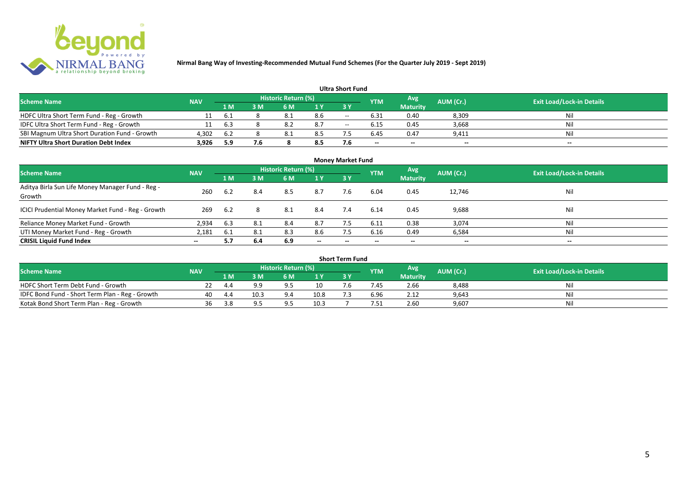

#### **1 M 3 M 6 M 1 Y 3 Y** HDFC Ultra Short Term Fund - Reg - Growth 11 6.1 8 8.1 8.6 -- 6.31 0.40 8,309 Nil<br>IDFC Ultra Short Term Fund - Reg - Growth 11 6.3 8 8.2 8.7 -- 6.15 0.45 3,668 Nil 1999 IDFC Ultra Short Term Fund - Reg - Growth 11 6.3 8 8.2 8.7 -- 6.15 0.45 3,668 Nil 1<br>
11 6.3 8 8.2 8.7 -- 6.15 0.45 3,668 Nil 1999 16 8.1 8.5 7.5 6.45 0.47 9.411 Nil 1999 16.45 Nil 1999 16.45 Nil SBI Magnum Ultra Short Duration Fund - Growth 4,302 6.2 8 8.1 8.5 7.5 6.45 0.47 9,411 Nil **NIFTY Ultra Short Duration Debt Index 3,926 5.9 7.6 8 8.5 7.6 -- -- -- -- Avg Maturity Historic Return (%) YTM Ultra Short Fund** Scheme Name **NAV NAV Historic Return (%)** NAV Historic Return (%) Note and the May AUM (Cr.) Exit Load/Lock-in Details<br>
The Scheme Name Naturity AUM (Cr.) Exit Load/Lock-in Details

|                                                            |            |      |     |                     |                          | <b>Money Market Fund</b> |            |                          |                          |                                  |
|------------------------------------------------------------|------------|------|-----|---------------------|--------------------------|--------------------------|------------|--------------------------|--------------------------|----------------------------------|
| <b>Scheme Name</b>                                         | <b>NAV</b> |      |     | Historic Return (%) |                          |                          | <b>YTM</b> | Avg                      | AUM (Cr.)                | <b>Exit Load/Lock-in Details</b> |
|                                                            |            | 1 M  | 3M  | 6 M                 | 1Y                       | <b>3Y</b>                |            | <b>Maturity</b>          |                          |                                  |
| Aditya Birla Sun Life Money Manager Fund - Reg -<br>Growth | 260        | 6.2  | 8.4 | 8.5                 | 8.7                      | 7.6                      | 6.04       | 0.45                     | 12,746                   | Nil                              |
| ICICI Prudential Money Market Fund - Reg - Growth          | 269        | -6.2 | 8   | 8.1                 | 8.4                      | 7.4                      | 6.14       | 0.45                     | 9,688                    | Nil                              |
| Reliance Money Market Fund - Growth                        | 2,934      | 6.3  | 8.1 | 8.4                 | 8.7                      |                          | 6.11       | 0.38                     | 3,074                    | Nil                              |
| UTI Money Market Fund - Reg - Growth                       | 2,181      | 6.1  | 8.1 | 8.3                 | 8.6                      | 7.5                      | 6.16       | 0.49                     | 6,584                    | Nil                              |
| <b>CRISIL Liquid Fund Index</b>                            | $- -$      | 5.7  | 6.4 | 6.9                 | $\overline{\phantom{a}}$ | $- -$                    | $\!-$      | $\overline{\phantom{a}}$ | $\overline{\phantom{a}}$ | $\sim$                           |

|                                                 |            |     |      |                     |       | Short Term Fund |            |                 |           |                                  |
|-------------------------------------------------|------------|-----|------|---------------------|-------|-----------------|------------|-----------------|-----------|----------------------------------|
| <b>Scheme Name</b>                              | <b>NAV</b> |     |      | Historic Return (%) |       |                 | <b>YTM</b> | Avg             | AUM (Cr.) | <b>Exit Load/Lock-in Details</b> |
|                                                 |            | 1 M | 3 M  | 6 M                 | 1 V   |                 |            | <b>Maturity</b> |           |                                  |
| HDFC Short Term Debt Fund - Growth              |            | 4.4 | a a  |                     |       | .b              | .45        | 2.66            | 8,488     | Nil                              |
| IDFC Bond Fund - Short Term Plan - Reg - Growth | 40         | 4.4 | 10.3 |                     | 10.8  |                 | 6.96       | 2.12            | 9,643     | Nil                              |
| Kotak Bond Short Term Plan - Reg - Growth       | 36         | 3.8 | QE   |                     | دُ.10 |                 | '.51       | 2.60            | 9,607     | Nil                              |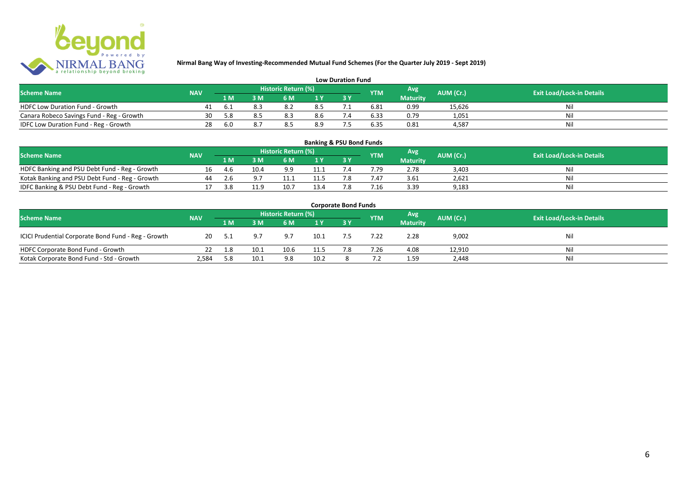

| <b>Low Duration Fund</b>                  |            |     |                |                     |     |  |            |                 |           |                                  |  |
|-------------------------------------------|------------|-----|----------------|---------------------|-----|--|------------|-----------------|-----------|----------------------------------|--|
| <b>Scheme Name</b>                        | <b>NAV</b> |     |                | Historic Return (%) |     |  | <b>YTM</b> | Avg             | AUM (Cr.) | <b>Exit Load/Lock-in Details</b> |  |
|                                           |            | 1 M | 3 <sub>N</sub> | 6 M                 |     |  |            | <b>Maturity</b> |           |                                  |  |
| HDFC Low Duration Fund - Growth           |            | b   |                |                     | 8.5 |  | 6.81       | 0.99            | 15,626    | Ni                               |  |
| Canara Robeco Savings Fund - Reg - Growth | 30         | 5.8 |                |                     | 8.6 |  | 6.33       | 0.79            | 1,051     | Ni                               |  |
| IDFC Low Duration Fund - Reg - Growth     | 28         | 6.0 |                | 8.5                 | 8.9 |  | 6.35       | 0.81            | 4.587     | Ni                               |  |

| <b>Banking &amp; PSU Bond Funds</b>            |            |     |             |                     |                |     |                 |                 |           |                                  |  |
|------------------------------------------------|------------|-----|-------------|---------------------|----------------|-----|-----------------|-----------------|-----------|----------------------------------|--|
| <b>Scheme Name</b>                             | <b>NAV</b> |     |             | Historic Return (%) |                |     | <b>YTM</b>      | Avg             | AUM (Cr.) | <b>Exit Load/Lock-in Details</b> |  |
|                                                |            | 1 M |             | 6 M                 | 1 <sup>Y</sup> |     |                 | <b>Maturity</b> |           |                                  |  |
| HDFC Banking and PSU Debt Fund - Reg - Growth  | 16         | 4.6 | 10.4        | 9.9                 | 11.1           |     | 7.79            | 2.78            | 3.403     | Nil                              |  |
| Kotak Banking and PSU Debt Fund - Reg - Growth | 44         |     | <u>ດ - </u> | 11.1                | 11.'           |     | 7.47            | 3.61            | 2,621     | Nil                              |  |
| IDFC Banking & PSU Debt Fund - Reg - Growth    |            | 3.8 | 11 Q        | 10.7                | 13.4           | ה − | $^{\prime}$ .16 | 3.39            | 9,183     | Nil                              |  |

| <b>Corporate Bond Funds</b>                         |            |      |      |                     |      |     |            |                 |           |                                  |  |
|-----------------------------------------------------|------------|------|------|---------------------|------|-----|------------|-----------------|-----------|----------------------------------|--|
| <b>Scheme Name</b>                                  | <b>NAV</b> |      |      | Historic Return (%) |      |     | <b>YTM</b> | <b>Avg</b>      | AUM (Cr.) | <b>Exit Load/Lock-in Details</b> |  |
|                                                     |            | 1 M  | 3 M  | 6 M                 | 1Y   |     |            | <b>Maturity</b> |           |                                  |  |
| ICICI Prudential Corporate Bond Fund - Reg - Growth | 20         | -5.1 | 9.7  | 9.7                 | 10.1 |     | 7.22       | 2.28            | 9,002     | Nil                              |  |
| HDFC Corporate Bond Fund - Growth                   |            | 1.8  | 10.1 | 10.6                | 11.5 | 7.8 | 7.26       | 4.08            | 12,910    | Ni'                              |  |
| Kotak Corporate Bond Fund - Std - Growth            | 2,584      | 5.8  | 10.1 | 9.8                 | 10.2 |     |            | 1.59            | 2,448     | Nil                              |  |